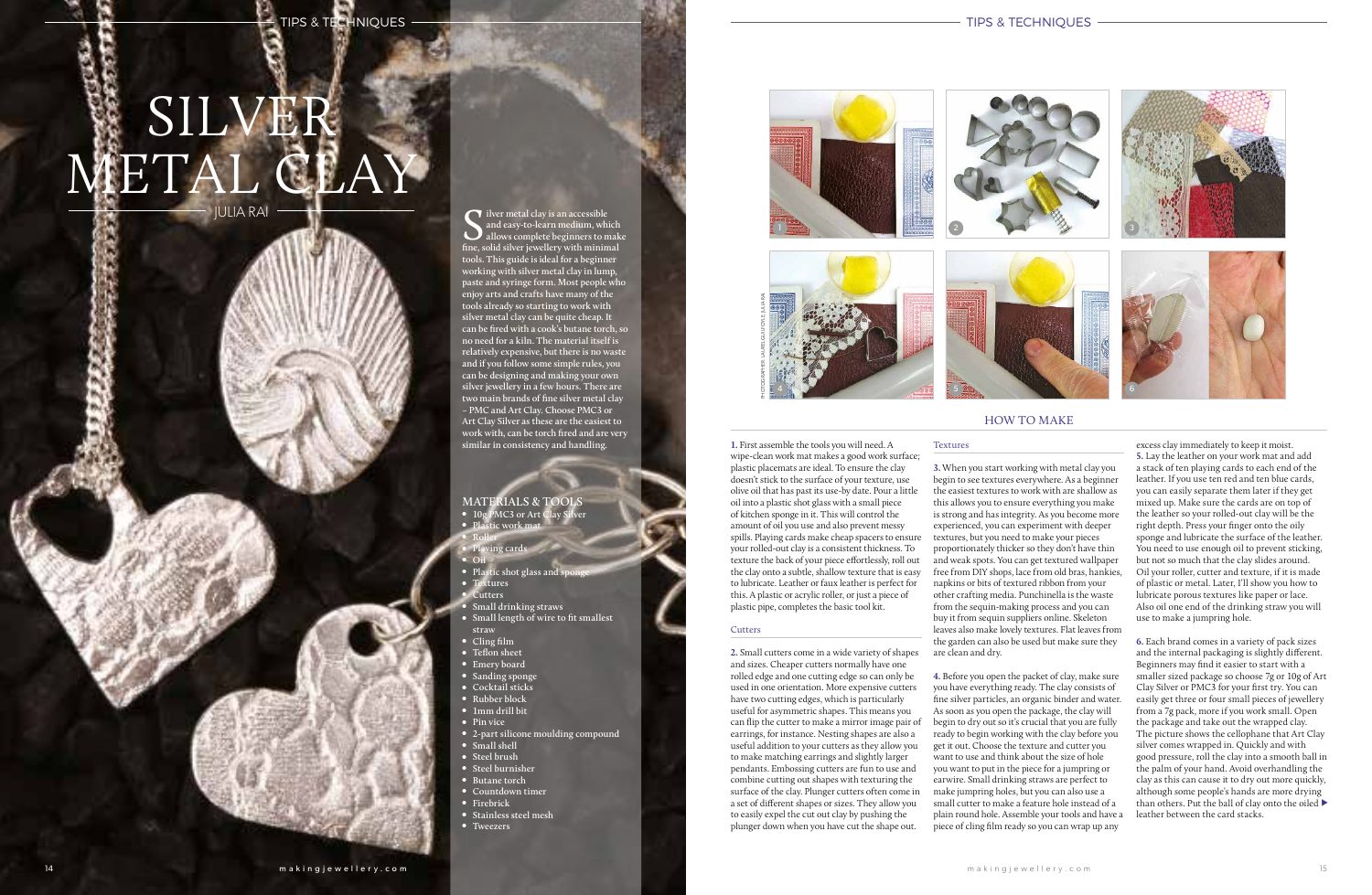**1.** First assemble the tools you will need. A wipe-clean work mat makes a good work surface; plastic placemats are ideal. To ensure the clay doesn't stick to the surface of your texture, use olive oil that has past its use-by date. Pour a little oil into a plastic shot glass with a small piece of kitchen sponge in it. This will control the amount of oil you use and also prevent messy spills. Playing cards make cheap spacers to ensure your rolled-out clay is a consistent thickness. To texture the back of your piece effortlessly, roll out the clay onto a subtle, shallow texture that is easy to lubricate. Leather or faux leather is perfect for this. A plastic or acrylic roller, or just a piece of plastic pipe, completes the basic tool kit.

#### **Cutters**

**2.** Small cutters come in a wide variety of shapes and sizes. Cheaper cutters normally have one rolled edge and one cutting edge so can only be used in one orientation. More expensive cutters have two cutting edges, which is particularly useful for asymmetric shapes. This means you can flip the cutter to make a mirror image pair of earrings, for instance. Nesting shapes are also a useful addition to your cutters as they allow you to make matching earrings and slightly larger pendants. Embossing cutters are fun to use and combine cutting out shapes with texturing the surface of the clay. Plunger cutters often come in a set of different shapes or sizes. They allow you to easily expel the cut out clay by pushing the plunger down when you have cut the shape out.

#### Textures

**3.** When you start working with metal clay you begin to see textures everywhere. As a beginner the easiest textures to work with are shallow as this allows you to ensure everything you make is strong and has integrity. As you become more experienced, you can experiment with deeper textures, but you need to make your pieces

than others. Put the ball of clay onto the oiled  $\blacktriangleright$ **6.** Each brand comes in a variety of pack sizes and the internal packaging is slightly different. Beginners may find it easier to start with a smaller sized package so choose 7g or 10g of Art Clay Silver or PMC3 for your first try. You can easily get three or four small pieces of jewellery from a 7g pack, more if you work small. Open the package and take out the wrapped clay. The picture shows the cellophane that Art Clay silver comes wrapped in. Quickly and with good pressure, roll the clay into a smooth ball in the palm of your hand. Avoid overhandling the clay as this can cause it to dry out more quickly, although some people's hands are more drying leather between the card stacks.

# SILVE **FTAL CL** JULIA RAI

proportionately thicker so they don't have thin and weak spots. You can get textured wallpaper free from DIY shops, lace from old bras, hankies, napkins or bits of textured ribbon from your other crafting media. Punchinella is the waste from the sequin-making process and you can buy it from sequin suppliers online. Skeleton leaves also make lovely textures. Flat leaves from the garden can also be used but make sure they are clean and dry. **4.** Before you open the packet of clay, make sure you have everything ready. The clay consists of fine silver particles, an organic binder and water. As soon as you open the package, the clay will begin to dry out so it's crucial that you are fully ready to begin working with the clay before you get it out. Choose the texture and cutter you want to use and think about the size of hole you want to put in the piece for a jumpring or earwire. Small drinking straws are perfect to make jumpring holes, but you can also use a small cutter to make a feature hole instead of a plain round hole. Assemble your tools and have a piece of cling film ready so you can wrap up any

S ilver metal clay is an accessible<br>and easy-to-learn medium, which allows complete beginners to m<br>fine. solid silver iewellery with minim **and easy-to-learn medium, which allows complete beginners to make fine, solid silver jewellery with minimal tools. This guide is ideal for a beginner working with silver metal clay in lump, paste and syringe form. Most people who enjoy arts and crafts have many of the tools already so starting to work with silver metal clay can be quite cheap. It can be fired with a cook's butane torch, so no need for a kiln. The material itself is relatively expensive, but there is no waste and if you follow some simple rules, you can be designing and making your own silver jewellery in a few hours. There are two main brands of fine silver metal clay – PMC and Art Clay. Choose PMC3 or Art Clay Silver as these are the easiest to work with, can be torch fired and are very similar in consistency and handling.** 

excess clay immediately to keep it moist. **5.** Lay the leather on your work mat and add a stack of ten playing cards to each end of the leather. If you use ten red and ten blue cards, you can easily separate them later if they get mixed up. Make sure the cards are on top of the leather so your rolled-out clay will be the right depth. Press your finger onto the oily sponge and lubricate the surface of the leather. You need to use enough oil to prevent sticking, but not so much that the clay slides around. Oil your roller, cutter and texture, if it is made of plastic or metal. Later, I'll show you how to lubricate porous textures like paper or lace. Also oil one end of the drinking straw you will use to make a jumpring hole.



#### HOW TO MAKE

# **MATERIALS & TOOLS**

- **10g PMC3 or Art Clay Silver**
- **Plastic work mat**
- Roller **• Playing cards**
- Oil
- **•** Plastic shot glass and
- <sup>l</sup> **Textures** <sup>l</sup> **Cutters**
- <sup>l</sup> **Small drinking straws**
- **•** Small length of wire to fit smallest
- **straw •** Cling film
- **•** Teflon sheet
- **•** Emery board
- **•** Sanding sponge
- **•** Cocktail sticks
- Rubber block
- **•** 1mm drill bit
- **•** Pin vice
- <sup>l</sup> **2-part silicone moulding compound**
- **•** Small shell
- **•** Steel brush
- **•** Steel burnisher
- **•** Butane torch
- **•** Countdown timer **•** Firebrick
- 
- **•** Stainless steel mesh
- **•** Tweezers



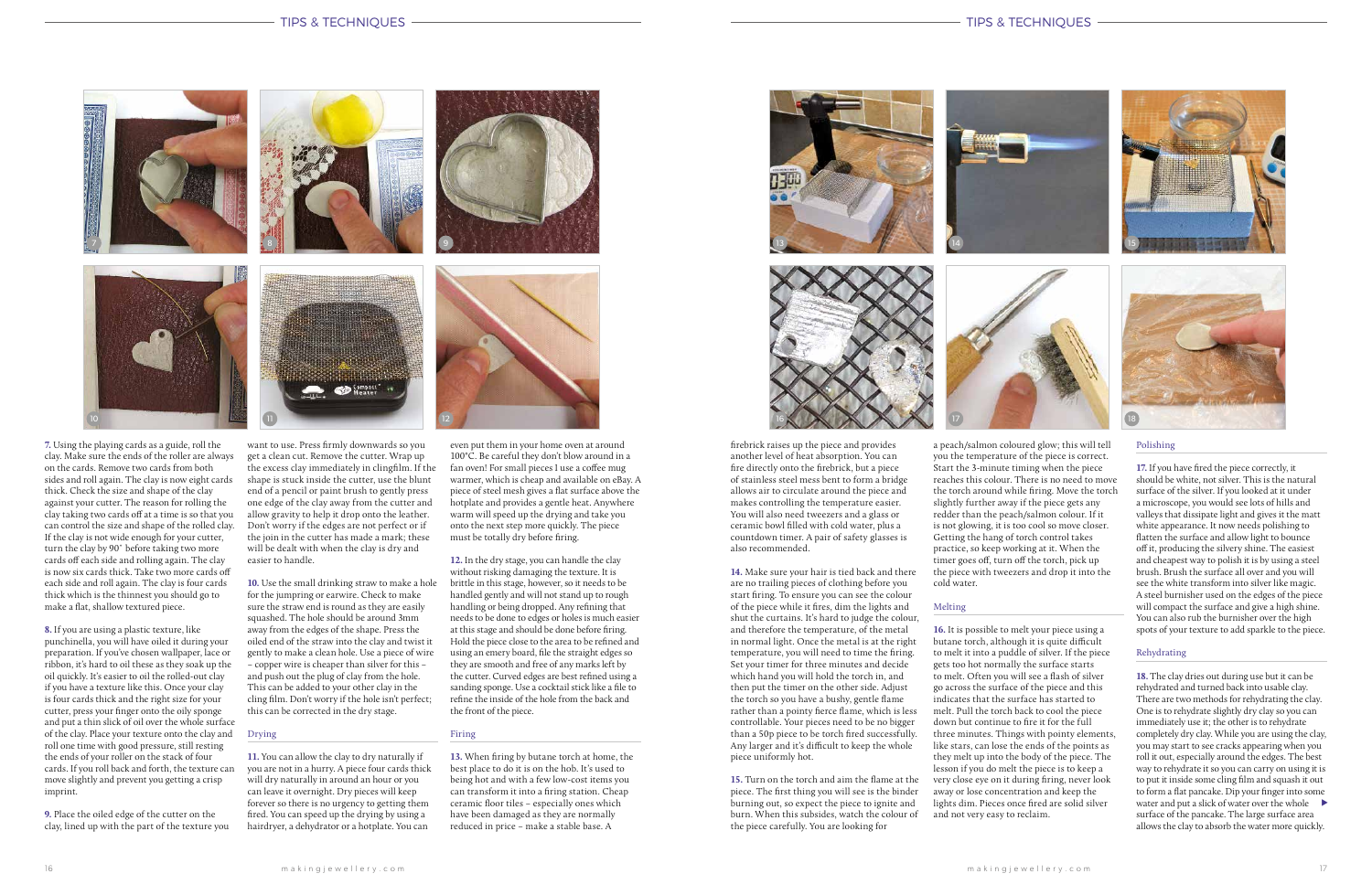**7.** Using the playing cards as a guide, roll the clay. Make sure the ends of the roller are always on the cards. Remove two cards from both sides and roll again. The clay is now eight cards thick. Check the size and shape of the clay against your cutter. The reason for rolling the clay taking two cards off at a time is so that you can control the size and shape of the rolled clay. If the clay is not wide enough for your cutter, turn the clay by 90˚ before taking two more cards off each side and rolling again. The clay is now six cards thick. Take two more cards off each side and roll again. The clay is four cards thick which is the thinnest you should go to make a flat, shallow textured piece.

**8.** If you are using a plastic texture, like punchinella, you will have oiled it during your preparation. If you've chosen wallpaper, lace or ribbon, it's hard to oil these as they soak up the oil quickly. It's easier to oil the rolled-out clay if you have a texture like this. Once your clay is four cards thick and the right size for your cutter, press your finger onto the oily sponge and put a thin slick of oil over the whole surface of the clay. Place your texture onto the clay and roll one time with good pressure, still resting the ends of your roller on the stack of four cards. If you roll back and forth, the texture can move slightly and prevent you getting a crisp imprint.

**9.** Place the oiled edge of the cutter on the clay, lined up with the part of the texture you

want to use. Press firmly downwards so you get a clean cut. Remove the cutter. Wrap up the excess clay immediately in clingfilm. If the shape is stuck inside the cutter, use the blunt end of a pencil or paint brush to gently press one edge of the clay away from the cutter and allow gravity to help it drop onto the leather. Don't worry if the edges are not perfect or if the join in the cutter has made a mark; these will be dealt with when the clay is dry and easier to handle.

**10.** Use the small drinking straw to make a hole for the jumpring or earwire. Check to make sure the straw end is round as they are easily squashed. The hole should be around 3mm away from the edges of the shape. Press the oiled end of the straw into the clay and twist it gently to make a clean hole. Use a piece of wire – copper wire is cheaper than silver for this – and push out the plug of clay from the hole. This can be added to your other clay in the cling film. Don't worry if the hole isn't perfect; this can be corrected in the dry stage.

#### Drying

**11.** You can allow the clay to dry naturally if you are not in a hurry. A piece four cards thick will dry naturally in around an hour or you can leave it overnight. Dry pieces will keep forever so there is no urgency to getting them fired. You can speed up the drying by using a hairdryer, a dehydrator or a hotplate. You can

even put them in your home oven at around 100°C. Be careful they don't blow around in a fan oven! For small pieces I use a coffee mug warmer, which is cheap and available on eBay. A piece of steel mesh gives a flat surface above the hotplate and provides a gentle heat. Anywhere warm will speed up the drying and take you onto the next step more quickly. The piece must be totally dry before firing.

**12.** In the dry stage, you can handle the clay without risking damaging the texture. It is brittle in this stage, however, so it needs to be handled gently and will not stand up to rough handling or being dropped. Any refining that needs to be done to edges or holes is much easier at this stage and should be done before firing. Hold the piece close to the area to be refined and using an emery board, file the straight edges so they are smooth and free of any marks left by the cutter. Curved edges are best refined using a sanding sponge. Use a cocktail stick like a file to refine the inside of the hole from the back and the front of the piece.

#### Firing

**13.** When firing by butane torch at home, the best place to do it is on the hob. It's used to being hot and with a few low-cost items you can transform it into a firing station. Cheap ceramic floor tiles – especially ones which have been damaged as they are normally reduced in price – make a stable base. A

water and put a slick of water over the whole  $\qquadblacktriangleright$ **18.** The clay dries out during use but it can be rehydrated and turned back into usable clay. There are two methods for rehydrating the clay. One is to rehydrate slightly dry clay so you can immediately use it; the other is to rehydrate completely dry clay. While you are using the clay, you may start to see cracks appearing when you roll it out, especially around the edges. The best way to rehydrate it so you can carry on using it is to put it inside some cling film and squash it out to form a flat pancake. Dip your finger into some surface of the pancake. The large surface area allows the clay to absorb the water more quickly.



firebrick raises up the piece and provides another level of heat absorption. You can fire directly onto the firebrick, but a piece of stainless steel mess bent to form a bridge allows air to circulate around the piece and makes controlling the temperature easier. You will also need tweezers and a glass or ceramic bowl filled with cold water, plus a countdown timer. A pair of safety glasses is also recommended.

**14.** Make sure your hair is tied back and there are no trailing pieces of clothing before you start firing. To ensure you can see the colour of the piece while it fires, dim the lights and shut the curtains. It's hard to judge the colour, and therefore the temperature, of the metal in normal light. Once the metal is at the right temperature, you will need to time the firing. Set your timer for three minutes and decide which hand you will hold the torch in, and then put the timer on the other side. Adjust the torch so you have a bushy, gentle flame rather than a pointy fierce flame, which is less controllable. Your pieces need to be no bigger than a 50p piece to be torch fired successfully. Any larger and it's difficult to keep the whole piece uniformly hot.

**15.** Turn on the torch and aim the flame at the piece. The first thing you will see is the binder burning out, so expect the piece to ignite and burn. When this subsides, watch the colour of the piece carefully. You are looking for

a peach/salmon coloured glow; this will tell you the temperature of the piece is correct. Start the 3-minute timing when the piece reaches this colour. There is no need to move the torch around while firing. Move the torch slightly further away if the piece gets any redder than the peach/salmon colour. If it is not glowing, it is too cool so move closer.

Getting the hang of torch control takes practice, so keep working at it. When the timer goes off, turn off the torch, pick up the piece with tweezers and drop it into the cold water. Melting **16.** It is possible to melt your piece using a butane torch, although it is quite difficult to melt it into a puddle of silver. If the piece gets too hot normally the surface starts to melt. Often you will see a flash of silver go across the surface of the piece and this indicates that the surface has started to melt. Pull the torch back to cool the piece down but continue to fire it for the full three minutes. Things with pointy elements, like stars, can lose the ends of the points as they melt up into the body of the piece. The lesson if you do melt the piece is to keep a very close eye on it during firing, never look away or lose concentration and keep the lights dim. Pieces once fired are solid silver and not very easy to reclaim.

#### Polishing

**17.** If you have fired the piece correctly, it should be white, not silver. This is the natural surface of the silver. If you looked at it under a microscope, you would see lots of hills and valleys that dissipate light and gives it the matt white appearance. It now needs polishing to flatten the surface and allow light to bounce off it, producing the silvery shine. The easiest and cheapest way to polish it is by using a steel brush. Brush the surface all over and you will see the white transform into silver like magic. A steel burnisher used on the edges of the piece will compact the surface and give a high shine. You can also rub the burnisher over the high spots of your texture to add sparkle to the piece.

#### Rehydrating









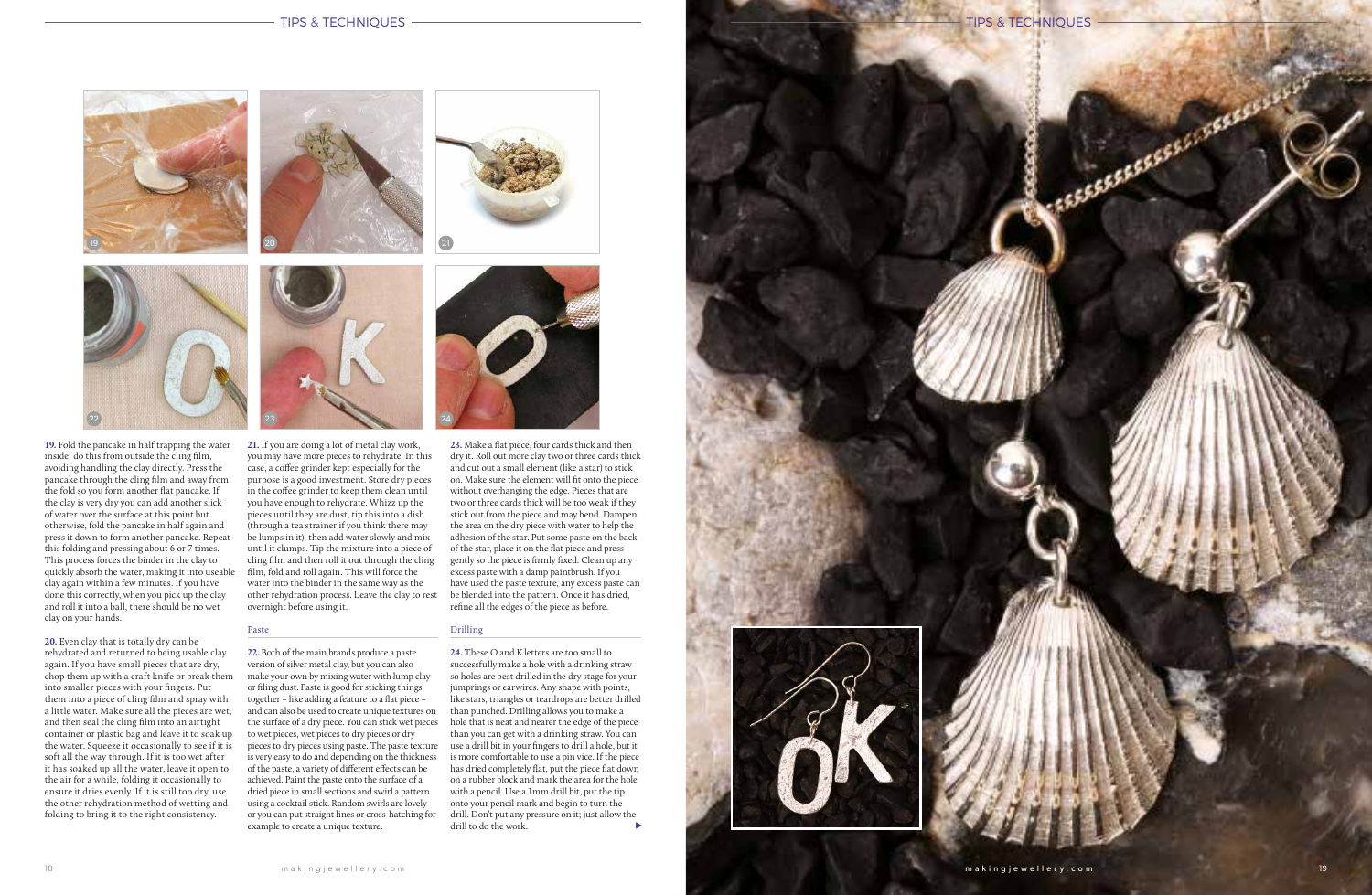356555565555555555

**19.** Fold the pancake in half trapping the water inside; do this from outside the cling film, avoiding handling the clay directly. Press the pancake through the cling film and away from the fold so you form another flat pancake. If the clay is very dry you can add another slick of water over the surface at this point but otherwise, fold the pancake in half again and press it down to form another pancake. Repeat this folding and pressing about 6 or 7 times. This process forces the binder in the clay to quickly absorb the water, making it into useable clay again within a few minutes. If you have done this correctly, when you pick up the clay and roll it into a ball, there should be no wet clay on your hands.

**20.** Even clay that is totally dry can be rehydrated and returned to being usable clay again. If you have small pieces that are dry, chop them up with a craft knife or break them into smaller pieces with your fingers. Put them into a piece of cling film and spray with a little water. Make sure all the pieces are wet, and then seal the cling film into an airtight container or plastic bag and leave it to soak up the water. Squeeze it occasionally to see if it is soft all the way through. If it is too wet after it has soaked up all the water, leave it open to the air for a while, folding it occasionally to ensure it dries evenly. If it is still too dry, use the other rehydration method of wetting and folding to bring it to the right consistency.

**21.** If you are doing a lot of metal clay work, you may have more pieces to rehydrate. In this case, a coffee grinder kept especially for the purpose is a good investment. Store dry pieces in the coffee grinder to keep them clean until you have enough to rehydrate. Whizz up the pieces until they are dust, tip this into a dish (through a tea strainer if you think there may be lumps in it), then add water slowly and mix until it clumps. Tip the mixture into a piece of cling film and then roll it out through the cling film, fold and roll again. This will force the water into the binder in the same way as the other rehydration process. Leave the clay to rest overnight before using it.

> **24.** These O and K letters are too small to successfully make a hole with a drinking straw so holes are best drilled in the dry stage for your jumprings or earwires. Any shape with points, like stars, triangles or teardrops are better drilled than punched. Drilling allows you to make a hole that is neat and nearer the edge of the piece than you can get with a drinking straw. You can use a drill bit in your fingers to drill a hole, but it is more comfortable to use a pin vice. If the piece has dried completely flat, put the piece flat down on a rubber block and mark the area for the hole with a pencil. Use a 1mm drill bit, put the tip onto your pencil mark and begin to turn the drill. Don't put any pressure on it; just allow the drill to do the work.  $\blacktriangleright$



#### Paste

**22.** Both of the main brands produce a paste version of silver metal clay, but you can also make your own by mixing water with lump clay or filing dust. Paste is good for sticking things together – like adding a feature to a flat piece – and can also be used to create unique textures on the surface of a dry piece. You can stick wet pieces to wet pieces, wet pieces to dry pieces or dry pieces to dry pieces using paste. The paste texture is very easy to do and depending on the thickness of the paste, a variety of different effects can be achieved. Paint the paste onto the surface of a dried piece in small sections and swirl a pattern using a cocktail stick. Random swirls are lovely or you can put straight lines or cross-hatching for example to create a unique texture.

**23.** Make a flat piece, four cards thick and then dry it. Roll out more clay two or three cards thick and cut out a small element (like a star) to stick on. Make sure the element will fit onto the piece without overhanging the edge. Pieces that are two or three cards thick will be too weak if they stick out from the piece and may bend. Dampen the area on the dry piece with water to help the adhesion of the star. Put some paste on the back of the star, place it on the flat piece and press gently so the piece is firmly fixed. Clean up any excess paste with a damp paintbrush. If you have used the paste texture, any excess paste can be blended into the pattern. Once it has dried, refine all the edges of the piece as before.

### Drilling